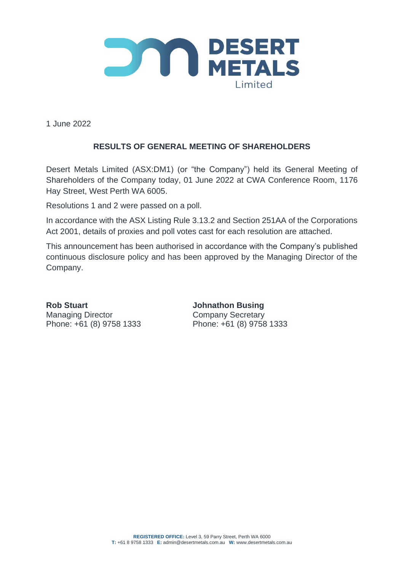

1 June 2022

## **RESULTS OF GENERAL MEETING OF SHAREHOLDERS**

Desert Metals Limited (ASX:DM1) (or "the Company") held its General Meeting of Shareholders of the Company today, 01 June 2022 at CWA Conference Room, 1176 Hay Street, West Perth WA 6005.

Resolutions 1 and 2 were passed on a poll.

In accordance with the ASX Listing Rule 3.13.2 and Section 251AA of the Corporations Act 2001, details of proxies and poll votes cast for each resolution are attached.

This announcement has been authorised in accordance with the Company's published continuous disclosure policy and has been approved by the Managing Director of the Company.

**Rob Stuart Johnathon Busing** Managing Director **Company Secretary** 

Phone: +61 (8) 9758 1333 Phone: +61 (8) 9758 1333